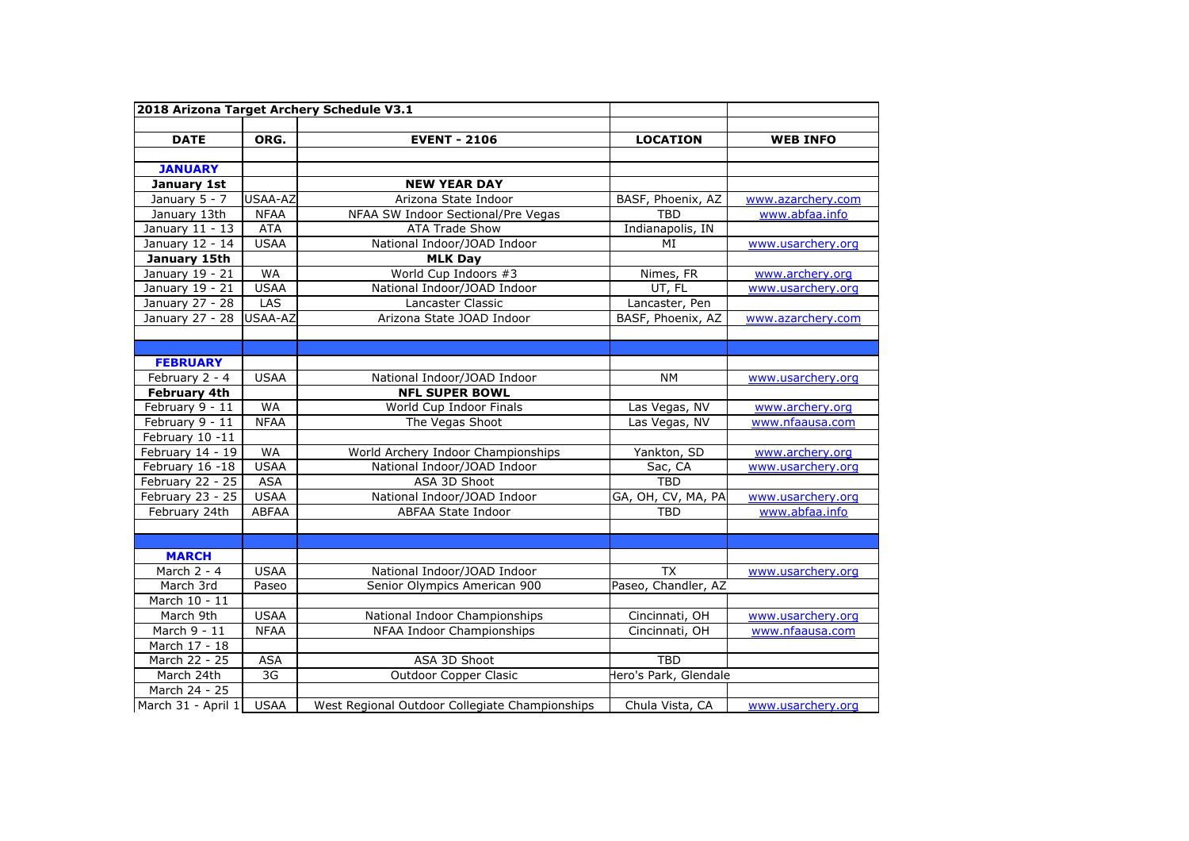| 2018 Arizona Target Archery Schedule V3.1 |             |                                                |                       |                   |
|-------------------------------------------|-------------|------------------------------------------------|-----------------------|-------------------|
| <b>DATE</b>                               | ORG.        |                                                |                       |                   |
|                                           |             | <b>EVENT - 2106</b>                            | <b>LOCATION</b>       | <b>WEB INFO</b>   |
| <b>JANUARY</b>                            |             |                                                |                       |                   |
| January 1st                               |             | <b>NEW YEAR DAY</b>                            |                       |                   |
| January 5 - 7                             | USAA-AZ     | Arizona State Indoor                           | BASF, Phoenix, AZ     | www.azarchery.com |
| January 13th                              | <b>NFAA</b> | NFAA SW Indoor Sectional/Pre Vegas             | <b>TBD</b>            | www.abfaa.info    |
| January 11 - 13                           | <b>ATA</b>  | <b>ATA Trade Show</b>                          | Indianapolis, IN      |                   |
| January 12 - 14                           | <b>USAA</b> | National Indoor/JOAD Indoor                    | MI                    | www.usarchery.org |
| January 15th                              |             | <b>MLK Day</b>                                 |                       |                   |
| January 19 - 21                           | <b>WA</b>   | World Cup Indoors #3                           | Nimes, FR             | www.archery.org   |
| January 19 - 21                           | <b>USAA</b> | National Indoor/JOAD Indoor                    | UT, FL                | www.usarchery.org |
| January 27 - 28                           | LAS         | Lancaster Classic                              | Lancaster, Pen        |                   |
| January 27 - 28                           | USAA-AZ     | Arizona State JOAD Indoor                      | BASF, Phoenix, AZ     | www.azarchery.com |
|                                           |             |                                                |                       |                   |
|                                           |             |                                                |                       |                   |
| <b>FEBRUARY</b>                           |             |                                                |                       |                   |
| February 2 - 4                            | <b>USAA</b> | National Indoor/JOAD Indoor                    | <b>NM</b>             | www.usarchery.org |
| <b>February 4th</b>                       |             | <b>NFL SUPER BOWL</b>                          |                       |                   |
| February 9 - 11                           | <b>WA</b>   | World Cup Indoor Finals                        | Las Vegas, NV         | www.archerv.org   |
| February 9 - 11                           | <b>NFAA</b> | The Vegas Shoot                                | Las Vegas, NV         | www.nfaausa.com   |
| February 10 -11                           |             |                                                |                       |                   |
| February 14 - 19                          | <b>WA</b>   | World Archery Indoor Championships             | Yankton, SD           | www.archery.org   |
| February 16 -18                           | <b>USAA</b> | National Indoor/JOAD Indoor                    | Sac, CA               | www.usarchery.org |
| February 22 - 25                          | <b>ASA</b>  | ASA 3D Shoot                                   | <b>TBD</b>            |                   |
| February 23 - 25                          | <b>USAA</b> | National Indoor/JOAD Indoor                    | GA, OH, CV, MA, PA    | www.usarchery.org |
| February 24th                             | ABFAA       | ABFAA State Indoor                             | <b>TBD</b>            | www.abfaa.info    |
|                                           |             |                                                |                       |                   |
|                                           |             |                                                |                       |                   |
| <b>MARCH</b>                              |             |                                                |                       |                   |
| March 2 - 4                               | <b>USAA</b> | National Indoor/JOAD Indoor                    | <b>TX</b>             | www.usarchery.org |
| March 3rd                                 | Paseo       | Senior Olympics American 900                   | Paseo, Chandler, AZ   |                   |
| March 10 - 11                             |             |                                                |                       |                   |
| March 9th                                 | <b>USAA</b> | National Indoor Championships                  | Cincinnati, OH        | www.usarchery.org |
| March 9 - 11                              | <b>NFAA</b> | NFAA Indoor Championships                      | Cincinnati, OH        | www.nfaausa.com   |
| March 17 - 18                             |             |                                                |                       |                   |
| March 22 - 25                             | <b>ASA</b>  | ASA 3D Shoot                                   | <b>TBD</b>            |                   |
| March 24th                                | 3G          | <b>Outdoor Copper Clasic</b>                   | Hero's Park, Glendale |                   |
| March 24 - 25                             |             |                                                |                       |                   |
| March 31 - April 1                        | <b>USAA</b> | West Regional Outdoor Collegiate Championships | Chula Vista, CA       | www.usarchery.org |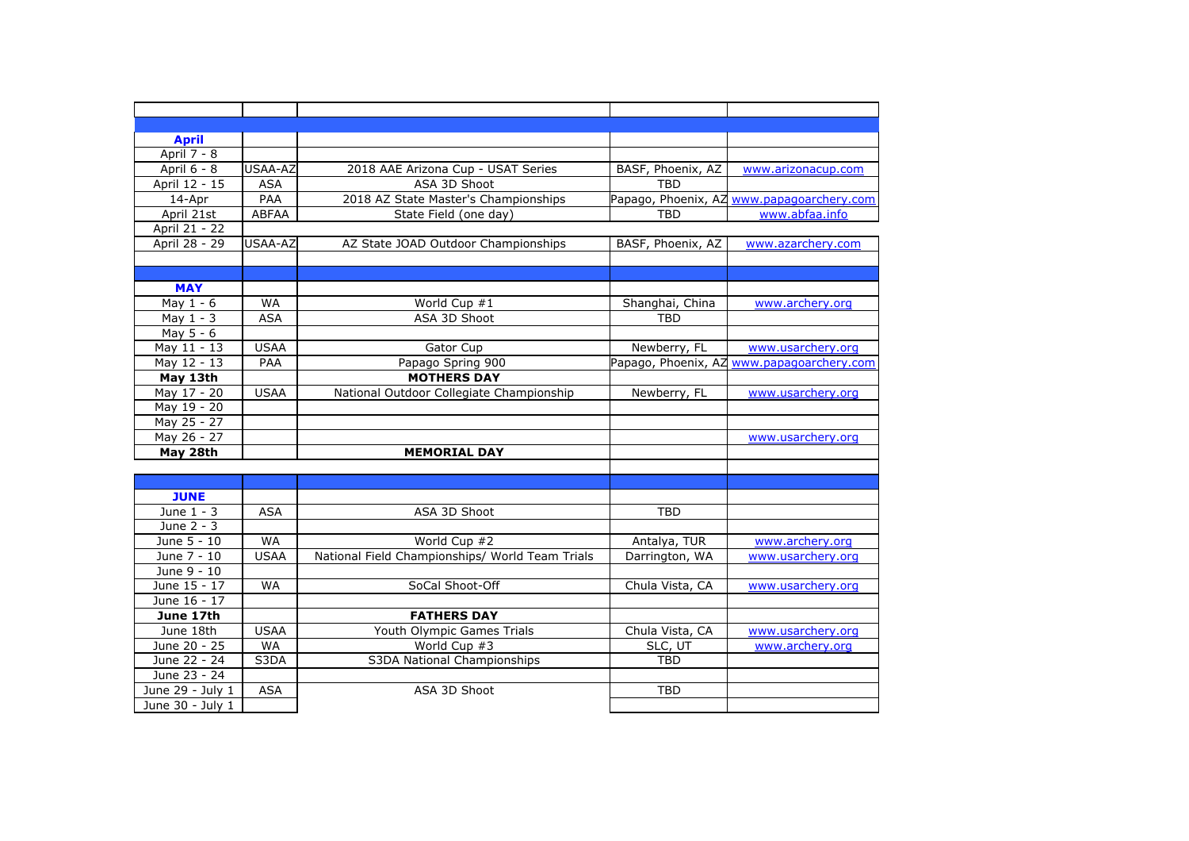| <b>April</b>     |             |                                                 |                   |                                           |
|------------------|-------------|-------------------------------------------------|-------------------|-------------------------------------------|
| April 7 - 8      |             |                                                 |                   |                                           |
| April 6 - 8      | USAA-AZ     | 2018 AAE Arizona Cup - USAT Series              | BASF, Phoenix, AZ | www.arizonacup.com                        |
| April 12 - 15    | <b>ASA</b>  | ASA 3D Shoot                                    | <b>TBD</b>        |                                           |
| 14-Apr           | PAA         | 2018 AZ State Master's Championships            |                   | Papago, Phoenix, AZ www.papagoarchery.com |
| April 21st       | ABFAA       | State Field (one day)                           | <b>TBD</b>        | www.abfaa.info                            |
| April 21 - 22    |             |                                                 |                   |                                           |
| April 28 - 29    | USAA-AZ     | AZ State JOAD Outdoor Championships             | BASF, Phoenix, AZ | www.azarchery.com                         |
|                  |             |                                                 |                   |                                           |
|                  |             |                                                 |                   |                                           |
| <b>MAY</b>       |             |                                                 |                   |                                           |
| May $1 - 6$      | <b>WA</b>   | World Cup #1                                    | Shanghai, China   | www.archery.org                           |
| May $1 - 3$      | <b>ASA</b>  | ASA 3D Shoot                                    | <b>TBD</b>        |                                           |
| May $5 - 6$      |             |                                                 |                   |                                           |
| May 11 - 13      | <b>USAA</b> | Gator Cup                                       | Newberry, FL      | www.usarchery.org                         |
| May 12 - 13      | PAA         | Papago Spring 900                               |                   | Papago, Phoenix, AZ www.papagoarchery.com |
| May 13th         |             | <b>MOTHERS DAY</b>                              |                   |                                           |
| May 17 - 20      | <b>USAA</b> | National Outdoor Collegiate Championship        | Newberry, FL      | www.usarchery.org                         |
| May 19 - 20      |             |                                                 |                   |                                           |
| May 25 - 27      |             |                                                 |                   |                                           |
| May 26 - 27      |             |                                                 |                   | www.usarchery.org                         |
| May 28th         |             | <b>MEMORIAL DAY</b>                             |                   |                                           |
|                  |             |                                                 |                   |                                           |
|                  |             |                                                 |                   |                                           |
| <b>JUNE</b>      |             |                                                 |                   |                                           |
| June 1 - 3       | <b>ASA</b>  | ASA 3D Shoot                                    | <b>TBD</b>        |                                           |
| June 2 - 3       |             |                                                 |                   |                                           |
| June 5 - 10      | <b>WA</b>   | World Cup #2                                    | Antalya, TUR      | www.archery.org                           |
| June 7 - 10      | <b>USAA</b> | National Field Championships/ World Team Trials | Darrington, WA    | www.usarchery.org                         |
| June 9 - 10      |             |                                                 |                   |                                           |
| June 15 - 17     | <b>WA</b>   | SoCal Shoot-Off                                 | Chula Vista, CA   | www.usarchery.org                         |
| June 16 - 17     |             |                                                 |                   |                                           |
| June 17th        |             | <b>FATHERS DAY</b>                              |                   |                                           |
| June 18th        | <b>USAA</b> | Youth Olympic Games Trials                      | Chula Vista, CA   | www.usarchery.org                         |
| June 20 - 25     | <b>WA</b>   | World Cup #3                                    | SLC, UT           | www.archery.org                           |
| June 22 - 24     | S3DA        | S3DA National Championships                     | <b>TBD</b>        |                                           |
| June 23 - 24     |             |                                                 |                   |                                           |
| June 29 - July 1 | <b>ASA</b>  | ASA 3D Shoot                                    | <b>TBD</b>        |                                           |
| June 30 - July 1 |             |                                                 |                   |                                           |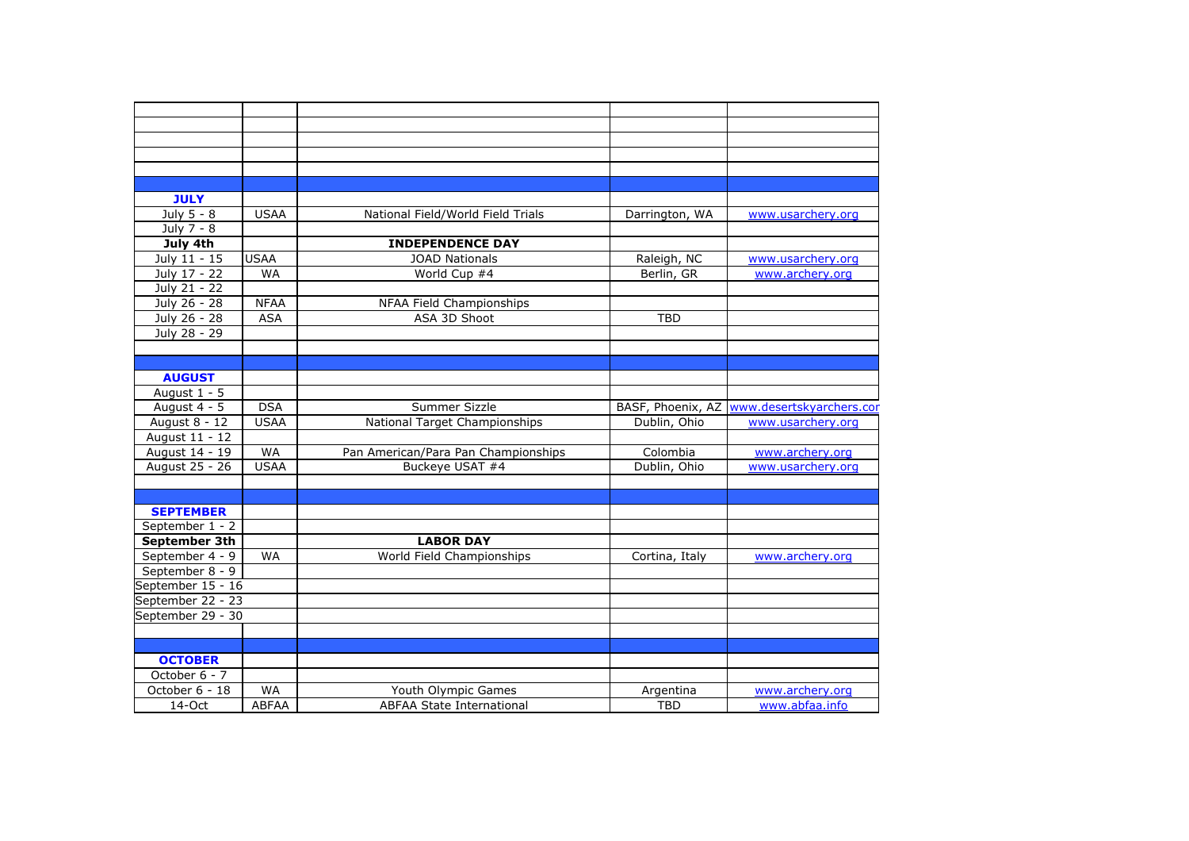| <b>JULY</b>       |              |                                     |                   |                          |
|-------------------|--------------|-------------------------------------|-------------------|--------------------------|
| July 5 - 8        | <b>USAA</b>  | National Field/World Field Trials   | Darrington, WA    | www.usarchery.org        |
| July 7 - 8        |              |                                     |                   |                          |
| July 4th          |              | <b>INDEPENDENCE DAY</b>             |                   |                          |
| July 11 - 15      | <b>USAA</b>  | <b>JOAD Nationals</b>               | Raleigh, NC       | www.usarchery.org        |
| July 17 - 22      | <b>WA</b>    | World Cup #4                        | Berlin, GR        | www.archery.org          |
| July 21 - 22      |              |                                     |                   |                          |
| July 26 - 28      | <b>NFAA</b>  | NFAA Field Championships            |                   |                          |
| July 26 - 28      | <b>ASA</b>   | ASA 3D Shoot                        | <b>TBD</b>        |                          |
| July 28 - 29      |              |                                     |                   |                          |
|                   |              |                                     |                   |                          |
|                   |              |                                     |                   |                          |
| <b>AUGUST</b>     |              |                                     |                   |                          |
| August $1 - 5$    |              |                                     |                   |                          |
| August 4 - 5      | <b>DSA</b>   | Summer Sizzle                       | BASF, Phoenix, AZ | www.desertskyarchers.cor |
| August 8 - 12     | <b>USAA</b>  | National Target Championships       | Dublin, Ohio      | www.usarchery.org        |
| August 11 - 12    |              |                                     |                   |                          |
| August 14 - 19    | <b>WA</b>    | Pan American/Para Pan Championships | Colombia          | www.archery.org          |
| August 25 - 26    | <b>USAA</b>  | Buckeye USAT #4                     | Dublin, Ohio      | www.usarchery.org        |
|                   |              |                                     |                   |                          |
|                   |              |                                     |                   |                          |
| <b>SEPTEMBER</b>  |              |                                     |                   |                          |
| September 1 - 2   |              |                                     |                   |                          |
| September 3th     |              | <b>LABOR DAY</b>                    |                   |                          |
| September 4 - 9   | <b>WA</b>    | World Field Championships           | Cortina, Italy    | www.archery.org          |
| September 8 - 9   |              |                                     |                   |                          |
| September 15 - 16 |              |                                     |                   |                          |
| September 22 - 23 |              |                                     |                   |                          |
| September 29 - 30 |              |                                     |                   |                          |
|                   |              |                                     |                   |                          |
|                   |              |                                     |                   |                          |
| <b>OCTOBER</b>    |              |                                     |                   |                          |
| October 6 - 7     |              |                                     |                   |                          |
| October 6 - 18    | <b>WA</b>    | Youth Olympic Games                 | Argentina         | www.archery.org          |
| 14-Oct            | <b>ABFAA</b> | <b>ABFAA State International</b>    | <b>TBD</b>        | www.abfaa.info           |